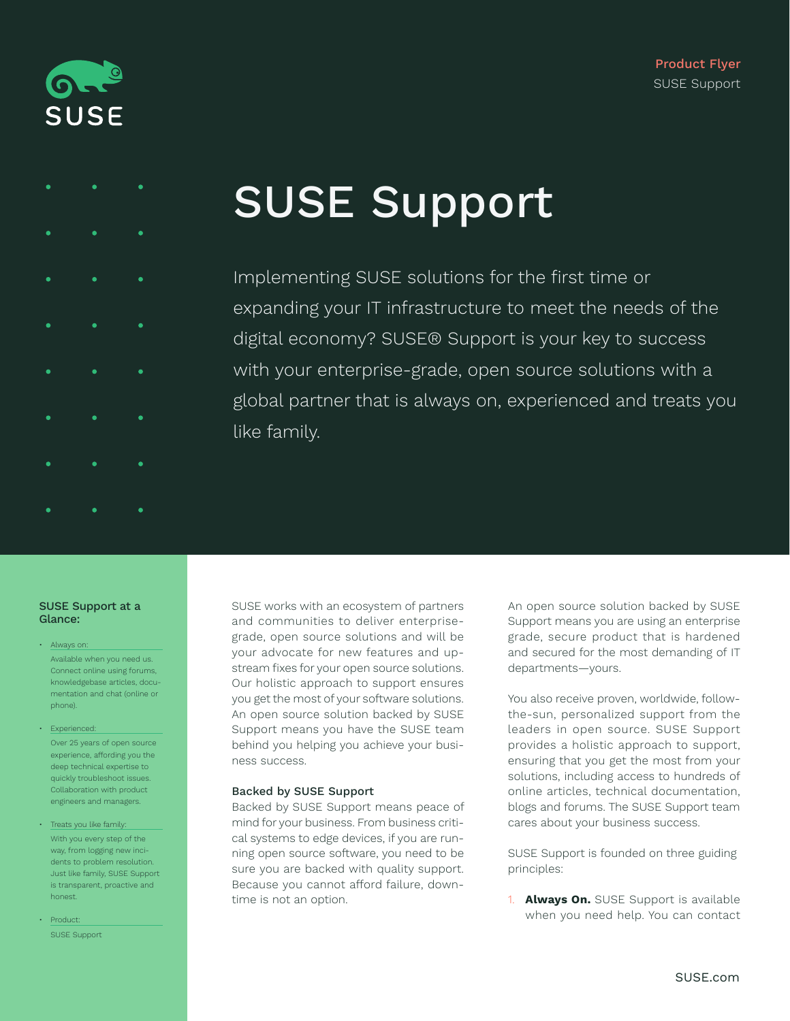



# SUSE Support

Implementing SUSE solutions for the first time or expanding your IT infrastructure to meet the needs of the digital economy? SUSE® Support is your key to success with your enterprise-grade, open source solutions with a global partner that is always on, experienced and treats you like family.

#### SUSE Support at a Glance:

- Always on: Available when you need us. Connect online using forums, knowledgebase articles, documentation and chat (online or phone).
- Experienced: Over 25 years of open source experience, affording you the deep technical expertise to quickly troubleshoot issues. Collaboration with product engineers and managers.
- Treats you like family: With you every step of the way, from logging new incidents to problem resolution. Just like family, SUSE Support is transparent, proactive and honest.
- Product: SUSE Support

SUSE works with an ecosystem of partners and communities to deliver enterprisegrade, open source solutions and will be your advocate for new features and upstream fixes for your open source solutions. Our holistic approach to support ensures you get the most of your software solutions. An open source solution backed by SUSE Support means you have the SUSE team behind you helping you achieve your business success.

## Backed by SUSE Support

Backed by SUSE Support means peace of mind for your business. From business critical systems to edge devices, if you are running open source software, you need to be sure you are backed with quality support. Because you cannot afford failure, downtime is not an option.

An open source solution backed by SUSE Support means you are using an enterprise grade, secure product that is hardened and secured for the most demanding of IT departments—yours.

You also receive proven, worldwide, followthe-sun, personalized support from the leaders in open source. SUSE Support provides a holistic approach to support, ensuring that you get the most from your solutions, including access to hundreds of online articles, technical documentation, blogs and forums. The SUSE Support team cares about your business success.

SUSE Support is founded on three guiding principles:

1. **Always On.** SUSE Support is available when you need help. You can contact